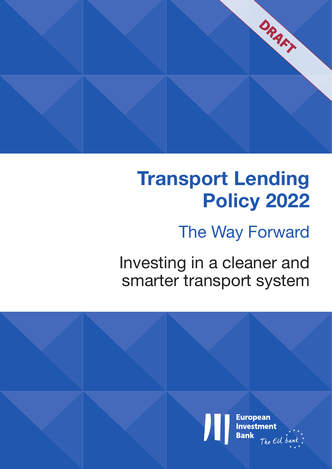

# **Transport Lending Policy 2022**

## The Way Forward

Investing in a cleaner and smarter transport system

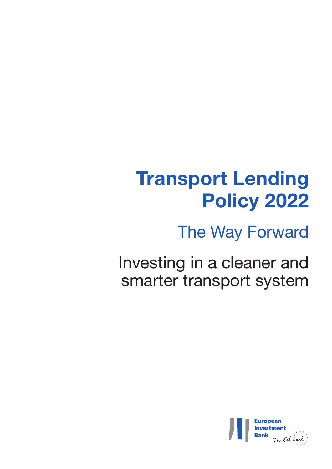# **Transport Lending Policy 2022**

The Way Forward

Investing in a cleaner and smarter transport system

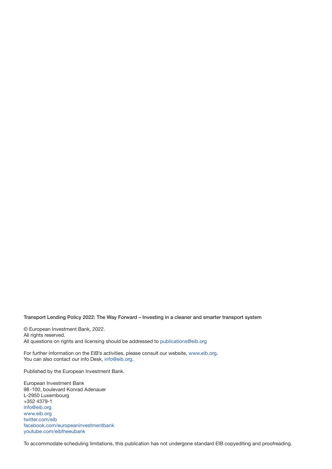Transport Lending Policy 2022: The Way Forward – Investing in a cleaner and smarter transport system

© European Investment Bank, 2022.

All rights reserved.

All questions on rights and licensing should be addressed to [publications@eib.org](http://publications@eib.org)

For further information on the EIB's activities, please consult our website, [www.eib.org.](http://www.eib.org) You can also contact our info Desk, [info@eib.org](http://info@eib.org).

Published by the European Investment Bank.

European Investment Bank 98-100, boulevard Konrad Adenauer L-2950 Luxembourg +352 4379-1 [info@eib.org](http://info@eib.org) [www.eib.org](http://www.eib.org) [twitter.com/eib](http://twitter.com/eib) [facebook.com/europeaninvestmentbank](http://facebook.com/europeaninvestmentbank) [youtube.com/eibtheeubank](http://youtube.com/eibtheeubank)

To accommodate scheduling limitations, this publication has not undergone standard EIB copyediting and proofreading.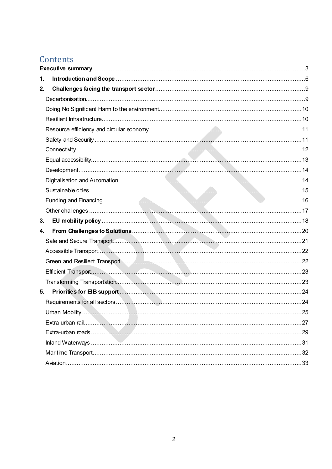## Contents

| 1. |  |  |  |
|----|--|--|--|
| 2. |  |  |  |
|    |  |  |  |
|    |  |  |  |
|    |  |  |  |
|    |  |  |  |
|    |  |  |  |
|    |  |  |  |
|    |  |  |  |
|    |  |  |  |
|    |  |  |  |
|    |  |  |  |
|    |  |  |  |
|    |  |  |  |
| 3. |  |  |  |
| 4. |  |  |  |
|    |  |  |  |
|    |  |  |  |
|    |  |  |  |
|    |  |  |  |
|    |  |  |  |
| 5. |  |  |  |
|    |  |  |  |
|    |  |  |  |
|    |  |  |  |
|    |  |  |  |
|    |  |  |  |
|    |  |  |  |
|    |  |  |  |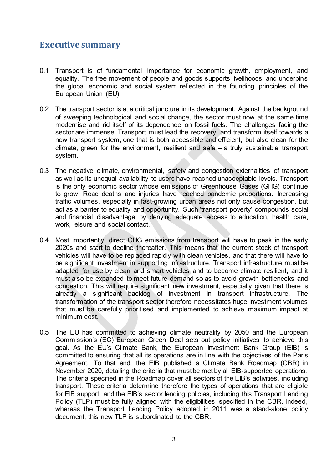## <span id="page-6-0"></span>**Executive summary**

- 0.1 Transport is of fundamental importance for economic growth, employment, and equality. The free movement of people and goods supports livelihoods and underpins the global economic and social system reflected in the founding principles of the European Union (EU).
- 0.2 The transport sector is at a critical juncture in its development. Against the background of sweeping technological and social change, the sector must now at the same time modernise and rid itself of its dependence on fossil fuels. The challenges facing the sector are immense. Transport must lead the recovery, and transform itself towards a new transport system, one that is both accessible and efficient, but also clean for the climate, green for the environment, resilient and safe – a truly sustainable transport system.
- 0.3 The negative climate, environmental, safety and congestion externalities of transport as well as its unequal availability to users have reached unacceptable levels. Transport is the only economic sector whose emissions of Greenhouse Gases (GHG) continue to grow. Road deaths and injuries have reached pandemic proportions. Increasing traffic volumes, especially in fast-growing urban areas not only cause congestion, but act as a barrier to equality and opportunity. Such 'transport poverty' compounds social and financial disadvantage by denying adequate access to education, health care, work, leisure and social contact.
- 0.4 Most importantly, direct GHG emissions from transport will have to peak in the early 2020s and start to decline thereafter. This means that the current stock of transport vehicles will have to be replaced rapidly with clean vehicles, and that there will have to be significant investment in supporting infrastructure. Transport infrastructure must be adapted for use by clean and smart vehicles and to become climate resilient, and it must also be expanded to meet future demand so as to avoid growth bottlenecks and congestion. This will require significant new investment, especially given that there is already a significant backlog of investment in transport infrastructure. The transformation of the transport sector therefore necessitates huge investment volumes that must be carefully prioritised and implemented to achieve maximum impact at minimum cost.
- 0.5 The EU has committed to achieving climate neutrality by 2050 and the European Commission's (EC) European Green Deal sets out policy initiatives to achieve this goal. As the EU's Climate Bank, the European Investment Bank Group (EIB) is committed to ensuring that all its operations are in line with the objectives of the Paris Agreement. To that end, the EIB published a Climate Bank Roadmap (CBR) in November 2020, detailing the criteria that must be met by all EIB-supported operations. The criteria specified in the Roadmap cover all sectors of the EIB's activities, including transport. These criteria determine therefore the types of operations that are eligible for EIB support, and the EIB's sector lending policies, including this Transport Lending Policy (TLP) must be fully aligned with the eligibilities specified in the CBR. Indeed, whereas the Transport Lending Policy adopted in 2011 was a stand-alone policy document, this new TLP is subordinated to the CBR.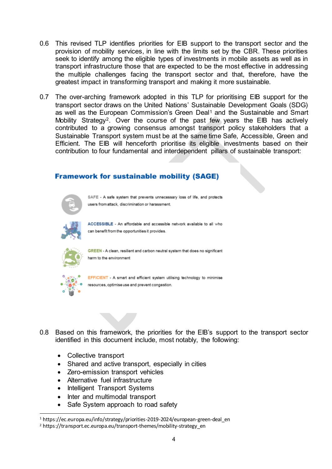- 0.6 This revised TLP identifies priorities for EIB support to the transport sector and the provision of mobility services, in line with the limits set by the CBR. These priorities seek to identify among the eligible types of investments in mobile assets as well as in transport infrastructure those that are expected to be the most effective in addressing the multiple challenges facing the transport sector and that, therefore, have the greatest impact in transforming transport and making it more sustainable.
- 0.7 The over-arching framework adopted in this TLP for prioritising EIB support for the transport sector draws on the United Nations' Sustainable Development Goals (SDG) as well as the European Commission's Green Deal<sup>[1](#page-7-0)</sup> and the Sustainable and Smart Mobility Strategy<sup>[2](#page-7-1)</sup>. Over the course of the past few years the EIB has actively contributed to a growing consensus amongst transport policy stakeholders that a Sustainable Transport system must be at the same time Safe, Accessible, Green and Efficient. The EIB will henceforth prioritise its eligible investments based on their contribution to four fundamental and interdependent pillars of sustainable transport:

## **Framework for sustainable mobility (SAGE)**



SAFE - A safe system that prevents unnecessary loss of life, and protects users from attack, discrimination or harassment.



ACCESSIBLE - An affordable and accessible network available to all who can benefit from the opportunities it provides.



GREEN - A clean, resilient and carbon neutral system that does no significant harm to the environment



-

EFFICIENT - A smart and efficient system utilising technology to minimise resources, optimise use and prevent congestion.

- 0.8 Based on this framework, the priorities for the EIB's support to the transport sector identified in this document include, most notably, the following:
	- Collective transport
	- Shared and active transport, especially in cities
	- Zero-emission transport vehicles
	- Alternative fuel infrastructure
	- Intelligent Transport Systems
	- Inter and multimodal transport
	- Safe System approach to road safety

<span id="page-7-0"></span><sup>&</sup>lt;sup>1</sup> https://ec.europa.eu/info/strategy/priorities-2019-2024/european-green-deal en

<span id="page-7-1"></span><sup>&</sup>lt;sup>2</sup> https://transport.ec.europa.eu/transport-themes/mobility-strategy\_en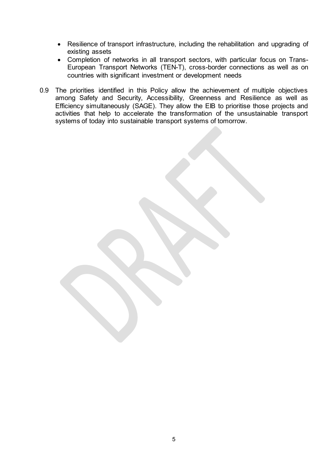- Resilience of transport infrastructure, including the rehabilitation and upgrading of existing assets
- Completion of networks in all transport sectors, with particular focus on Trans-European Transport Networks (TEN-T), cross-border connections as well as on countries with significant investment or development needs
- 0.9 The priorities identified in this Policy allow the achievement of multiple objectives among Safety and Security, Accessibility, Greenness and Resilience as well as Efficiency simultaneously (SAGE). They allow the EIB to prioritise those projects and activities that help to accelerate the transformation of the unsustainable transport systems of today into sustainable transport systems of tomorrow.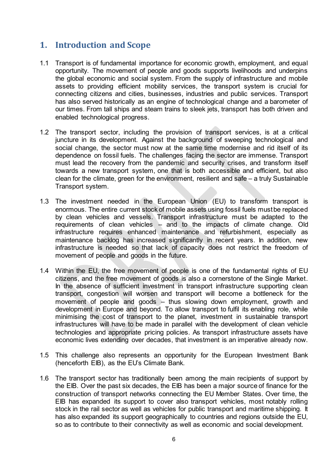## <span id="page-9-0"></span>**1. Introduction and Scope**

- 1.1 Transport is of fundamental importance for economic growth, employment, and equal opportunity. The movement of people and goods supports livelihoods and underpins the global economic and social system. From the supply of infrastructure and mobile assets to providing efficient mobility services, the transport system is crucial for connecting citizens and cities, businesses, industries and public services. Transport has also served historically as an engine of technological change and a barometer of our times. From tall ships and steam trains to sleek jets, transport has both driven and enabled technological progress.
- 1.2 The transport sector, including the provision of transport services, is at a critical juncture in its development. Against the background of sweeping technological and social change, the sector must now at the same time modernise and rid itself of its dependence on fossil fuels. The challenges facing the sector are immense. Transport must lead the recovery from the pandemic and security crises, and transform itself towards a new transport system, one that is both accessible and efficient, but also clean for the climate, green for the environment, resilient and safe – a truly Sustainable Transport system.
- 1.3 The investment needed in the European Union (EU) to transform transport is enormous. The entire current stock of mobile assets using fossil fuels must be replaced by clean vehicles and vessels. Transport infrastructure must be adapted to the requirements of clean vehicles – and to the impacts of climate change. Old infrastructure requires enhanced maintenance and refurbishment, especially as maintenance backlog has increased significantly in recent years. In addition, new infrastructure is needed so that lack of capacity does not restrict the freedom of movement of people and goods in the future.
- 1.4 Within the EU, the free movement of people is one of the fundamental rights of EU citizens, and the free movement of goods is also a cornerstone of the Single Market. In the absence of sufficient investment in transport infrastructure supporting clean transport, congestion will worsen and transport will become a bottleneck for the movement of people and goods – thus slowing down employment, growth and development in Europe and beyond. To allow transport to fulfil its enabling role, while minimising the cost of transport to the planet, investment in sustainable transport infrastructures will have to be made in parallel with the development of clean vehicle technologies and appropriate pricing policies. As transport infrastructure assets have economic lives extending over decades, that investment is an imperative already now.
- 1.5 This challenge also represents an opportunity for the European Investment Bank (henceforth EIB), as the EU's Climate Bank.
- 1.6 The transport sector has traditionally been among the main recipients of support by the EIB. Over the past six decades, the EIB has been a major source of finance for the construction of transport networks connecting the EU Member States. Over time, the EIB has expanded its support to cover also transport vehicles, most notably rolling stock in the rail sector as well as vehicles for public transport and maritime shipping. It has also expanded its support geographically to countries and regions outside the EU, so as to contribute to their connectivity as well as economic and social development.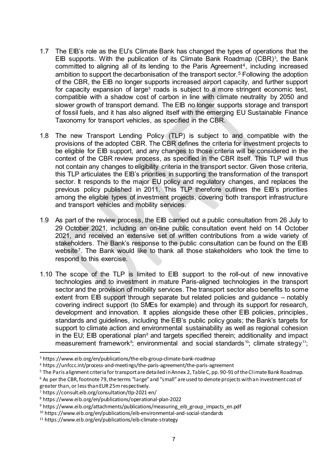- 1.7 The EIB's role as the EU's Climate Bank has changed the types of operations that the EIB supports. With the publication of its Climate Bank Roadmap (CBR)<sup>[3](#page-10-0)</sup>, the Bank committed to aligning all of its lending to the Paris Agreement<sup>[4](#page-10-1)</sup>, including increased ambition to support the decarbonisation of the transport sector.[5](#page-10-2) Following the adoption of the CBR, the EIB no longer supports increased airport capacity, and further support for capacity expansion of large $6$  roads is subject to a more stringent economic test, compatible with a shadow cost of carbon in line with climate neutrality by 2050 and slower growth of transport demand. The EIB no longer supports storage and transport of fossil fuels, and it has also aligned itself with the emerging EU Sustainable Finance Taxonomy for transport vehicles, as specified in the CBR.
- 1.8 The new Transport Lending Policy (TLP) is subject to and compatible with the provisions of the adopted CBR. The CBR defines the criteria for investment projects to be eligible for EIB support, and any changes to those criteria will be considered in the context of the CBR review process, as specified in the CBR itself. This TLP will thus not contain any changes to eligibility criteria in the transport sector. Given those criteria, this TLP articulates the EIB's priorities in supporting the transformation of the transport sector. It responds to the major EU policy and regulatory changes, and replaces the previous policy published in 2011. This TLP therefore outlines the EIB's priorities among the eligible types of investment projects, covering both transport infrastructure and transport vehicles and mobility services.
- 1.9 As part of the review process, the EIB carried out a public consultation from 26 July to 29 October 2021, including an on-line public consultation event held on 14 October 2021, and received an extensive set of written contributions from a wide variety of stakeholders. The Bank's response to the public consultation can be found on the EIB website[7](#page-10-4). The Bank would like to thank all those stakeholders who took the time to respond to this exercise.
- 1.10 The scope of the TLP is limited to EIB support to the roll-out of new innovative technologies and to investment in mature Paris-aligned technologies in the transport sector and the provision of mobility services. The transport sector also benefits to some extent from EIB support through separate but related policies and guidance – notably covering indirect support (to SMEs for example) and through its support for research, development and innovation. It applies alongside these other EIB policies, principles, standards and guidelines, including the EIB's public policy goals; the Bank's targets for support to climate action and environmental sustainability as well as regional cohesion in the EU; EIB operational plan<sup>[8](#page-10-5)</sup> and targets specified therein; additionality and impact measurement framework<sup>[9](#page-10-6)</sup>; environmental and social standards<sup>10</sup>; climate strategy<sup>11</sup>;

<span id="page-10-0"></span><sup>3</sup> https://www.eib.org/en/publications/the-eib-group-climate-bank-roadmap

<span id="page-10-1"></span><sup>4</sup> https://unfccc.int/process-and-meetings/the-paris-agreement/the-paris-agreement

<span id="page-10-2"></span><sup>&</sup>lt;sup>5</sup> The Paris alignment criteria for transport are detailed in Annex 2, Table C, pp. 90-91 of the Climate Bank Roadmap.

<span id="page-10-3"></span> $6$  As per the CBR, footnote 79, the terms "large" and "small" are used to denote projects with an investment cost of greater than, or less than EUR 25m respectively.

<span id="page-10-4"></span><sup>7</sup> https://consult.eib.org/consultation/tlp-2021-en/

<span id="page-10-5"></span><sup>8</sup> https://www.eib.org/en/publications/operational-plan-2022

<span id="page-10-6"></span><sup>&</sup>lt;sup>9</sup> https://www.eib.org/attachments/publications/measuring\_eib\_group\_impacts\_en.pdf

<span id="page-10-7"></span><sup>10</sup> https://www.eib.org/en/publications/eib-environmental-and-social-standards

<span id="page-10-8"></span><sup>11</sup> https://www.eib.org/en/publications/eib-climate-strategy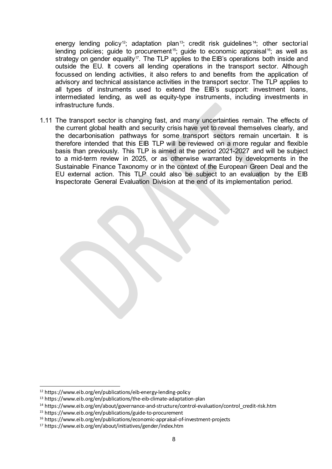energy lending policy<sup>12</sup>; adaptation plan<sup>[13](#page-11-1)</sup>; credit risk guidelines<sup>[14](#page-11-2)</sup>; other sectorial lending policies; quide to procurement<sup>[15](#page-11-3)</sup>; quide to economic appraisal<sup>16</sup>; as well as strategy on gender equality<sup>17</sup>. The TLP applies to the EIB's operations both inside and outside the EU. It covers all lending operations in the transport sector. Although focussed on lending activities, it also refers to and benefits from the application of advisory and technical assistance activities in the transport sector. The TLP applies to all types of instruments used to extend the EIB's support: investment loans, intermediated lending, as well as equity-type instruments, including investments in infrastructure funds.

1.11 The transport sector is changing fast, and many uncertainties remain. The effects of the current global health and security crisis have yet to reveal themselves clearly, and the decarbonisation pathways for some transport sectors remain uncertain. It is therefore intended that this EIB TLP will be reviewed on a more regular and flexible basis than previously. This TLP is aimed at the period 2021-2027 and will be subject to a mid-term review in 2025, or as otherwise warranted by developments in the Sustainable Finance Taxonomy or in the context of the European Green Deal and the EU external action. This TLP could also be subject to an evaluation by the EIB Inspectorate General Evaluation Division at the end of its implementation period.

<span id="page-11-0"></span><sup>12</sup> https://www.eib.org/en/publications/eib-energy-lending-policy

<span id="page-11-1"></span><sup>13</sup> https://www.eib.org/en/publications/the-eib-climate-adaptation-plan

<span id="page-11-2"></span><sup>&</sup>lt;sup>14</sup> https://www.eib.org/en/about/governance-and-structure/control-evaluation/control\_credit-risk.htm

<span id="page-11-3"></span><sup>15</sup> https://www.eib.org/en/publications/guide-to-procurement

<span id="page-11-4"></span><sup>16</sup> https://www.eib.org/en/publications/economic-appraisal-of-investment-projects

<span id="page-11-5"></span><sup>17</sup> https://www.eib.org/en/about/initiatives/gender/index.htm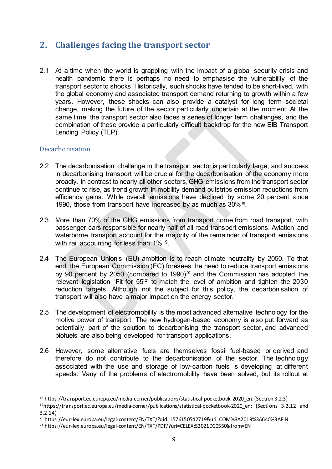## <span id="page-12-0"></span>**2. Challenges facing the transport sector**

2.1 At a time when the world is grappling with the impact of a global security crisis and health pandemic there is perhaps no need to emphasise the vulnerability of the transport sector to shocks. Historically, such shocks have tended to be short-lived, with the global economy and associated transport demand returning to growth within a few years. However, these shocks can also provide a catalyst for long term societal change, making the future of the sector particularly uncertain at the moment. At the same time, the transport sector also faces a series of longer term challenges, and the combination of these provide a particularly difficult backdrop for the new EIB Transport Lending Policy (TLP).

## <span id="page-12-1"></span>Decarbonisation

- 2.2 The decarbonisation challenge in the transport sector is particularly large, and success in decarbonising transport will be crucial for the decarbonisation of the economy more broadly. In contrast to nearly all other sectors, GHG emissions from the transport sector continue to rise, as trend growth in mobility demand outstrips emission reductions from efficiency gains. While overall emissions have declined by some 20 percent since 1990, those from transport have increased by as much as 30%[18](#page-12-2).
- 2.3 More than 70% of the GHG emissions from transport come from road transport, with passenger cars responsible for nearly half of all road transport emissions. Aviation and waterborne transport account for the majority of the remainder of transport emissions with rail accounting for less than 1%<sup>19</sup>.
- 2.4 The European Union's (EU) ambition is to reach climate neutrality by 2050. To that end, the European Commission (EC) foresees the need to reduce transport emissions by 90 percent by [20](#page-12-4)50 (compared to 1990)<sup>20</sup> and the Commission has adopted the relevant legislation 'Fit for 55'[21](#page-12-5) to match the level of ambition and tighten the 2030 reduction targets. Although not the subject for this policy, the decarbonisation of transport will also have a major impact on the energy sector.
- 2.5 The development of electromobility is the most advanced alternative technology for the motive power of transport. The new hydrogen-based economy is also put forward as potentially part of the solution to decarbonising the transport sector, and advanced biofuels are also being developed for transport applications.
- 2.6 However, some alternative fuels are themselves fossil fuel-based or derived and therefore do not contribute to the decarbonisation of the sector. The technology associated with the use and storage of low-carbon fuels is developing at different speeds. Many of the problems of electromobility have been solved, but its rollout at

<span id="page-12-2"></span><sup>18</sup> https://transport.ec.europa.eu/media-corner/publications/statistical-pocketbook-2020\_en; (Section 3.2.3)

<span id="page-12-3"></span><sup>19</sup>https://transport.ec.europa.eu/media-corner/publications/statistical-pocketbook-2020\_en; (Sections 3.2.12 and 3.2.14)

<span id="page-12-4"></span><sup>&</sup>lt;sup>20</sup> https://eur-lex.europa.eu/legal-content/EN/TXT/?qid=1576150542719&uri=COM%3A2019%3A640%3AFIN

<span id="page-12-5"></span><sup>&</sup>lt;sup>21</sup> https://eur-lex.europa.eu/legal-content/EN/TXT/PDF/?uri=CELEX:52021DC0550&from=EN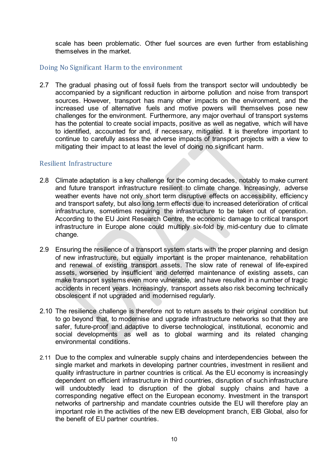scale has been problematic. Other fuel sources are even further from establishing themselves in the market.

## <span id="page-13-0"></span>Doing No Significant Harm to the environment

2.7 The gradual phasing out of fossil fuels from the transport sector will undoubtedly be accompanied by a significant reduction in airborne pollution and noise from transport sources. However, transport has many other impacts on the environment, and the increased use of alternative fuels and motive powers will themselves pose new challenges for the environment. Furthermore, any major overhaul of transport systems has the potential to create social impacts, positive as well as negative, which will have to identified, accounted for and, if necessary, mitigated. It is therefore important to continue to carefully assess the adverse impacts of transport projects with a view to mitigating their impact to at least the level of doing no significant harm.

## <span id="page-13-1"></span>Resilient Infrastructure

- 2.8 Climate adaptation is a key challenge for the coming decades, notably to make current and future transport infrastructure resilient to climate change. Increasingly, adverse weather events have not only short term disruptive effects on accessibility, efficiency and transport safety, but also long term effects due to increased deterioration of critical infrastructure, sometimes requiring the infrastructure to be taken out of operation. According to the EU Joint Research Centre, the economic damage to critical transport infrastructure in Europe alone could multiply six-fold by mid-century due to climate change.
- 2.9 Ensuring the resilience of a transport system starts with the proper planning and design of new infrastructure, but equally important is the proper maintenance, rehabilitation and renewal of existing transport assets. The slow rate of renewal of life-expired assets, worsened by insufficient and deferred maintenance of existing assets, can make transport systems even more vulnerable, and have resulted in a number of tragic accidents in recent years. Increasingly, transport assets also risk becoming technically obsolescent if not upgraded and modernised regularly.
- 2.10 The resilience challenge is therefore not to return assets to their original condition but to go beyond that, to modernise and upgrade infrastructure networks so that they are safer, future-proof and adaptive to diverse technological, institutional, economic and social developments as well as to global warming and its related changing environmental conditions.
- 2.11 Due to the complex and vulnerable supply chains and interdependencies between the single market and markets in developing partner countries, investment in resilient and quality infrastructure in partner countries is critical. As the EU economy is increasingly dependent on efficient infrastructure in third countries, disruption of such infrastructure will undoubtedly lead to disruption of the global supply chains and have a corresponding negative effect on the European economy. Investment in the transport networks of partnership and mandate countries outside the EU will therefore play an important role in the activities of the new EIB development branch, EIB Global, also for the benefit of EU partner countries.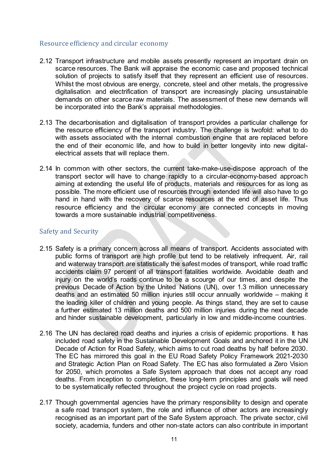## <span id="page-14-0"></span>Resource efficiency and circular economy

- 2.12 Transport infrastructure and mobile assets presently represent an important drain on scarce resources. The Bank will appraise the economic case and proposed technical solution of projects to satisfy itself that they represent an efficient use of resources. Whilst the most obvious are energy, concrete, steel and other metals, the progressive digitalisation and electrification of transport are increasingly placing unsustainable demands on other scarce raw materials. The assessment of these new demands will be incorporated into the Bank's appraisal methodologies.
- 2.13 The decarbonisation and digitalisation of transport provides a particular challenge for the resource efficiency of the transport industry. The challenge is twofold: what to do with assets associated with the internal combustion engine that are replaced before the end of their economic life, and how to build in better longevity into new digitalelectrical assets that will replace them.
- 2.14 In common with other sectors, the current take-make-use-dispose approach of the transport sector will have to change rapidly to a circular-economy-based approach aiming at extending the useful life of products, materials and resources for as long as possible. The more efficient use of resources through extended life will also have to go hand in hand with the recovery of scarce resources at the end of asset life. Thus resource efficiency and the circular economy are connected concepts in moving towards a more sustainable industrial competitiveness.

## <span id="page-14-1"></span>Safety and Security

- 2.15 Safety is a primary concern across all means of transport. Accidents associated with public forms of transport are high profile but tend to be relatively infrequent. Air, rail and waterway transport are statistically the safest modes of transport, while road traffic accidents claim 97 percent of all transport fatalities worldwide. Avoidable death and injury on the world's roads continue to be a scourge of our times, and despite the previous Decade of Action by the United Nations (UN), over 1.3 million unnecessary deaths and an estimated 50 million injuries still occur annually worldwide – making it the leading killer of children and young people. As things stand, they are set to cause a further estimated 13 million deaths and 500 million injuries during the next decade and hinder sustainable development, particularly in low and middle-income countries.
- 2.16 The UN has declared road deaths and injuries a crisis of epidemic proportions. It has included road safety in the Sustainable Development Goals and anchored it in the UN Decade of Action for Road Safety, which aims to cut road deaths by half before 2030. The EC has mirrored this goal in the EU Road Safety Policy Framework 2021-2030 and Strategic Action Plan on Road Safety. The EC has also formulated a Zero Vision for 2050, which promotes a Safe System approach that does not accept any road deaths. From inception to completion, these long-term principles and goals will need to be systematically reflected throughout the project cycle on road projects.
- 2.17 Though governmental agencies have the primary responsibility to design and operate a safe road transport system, the role and influence of other actors are increasingly recognised as an important part of the Safe System approach. The private sector, civil society, academia, funders and other non-state actors can also contribute in important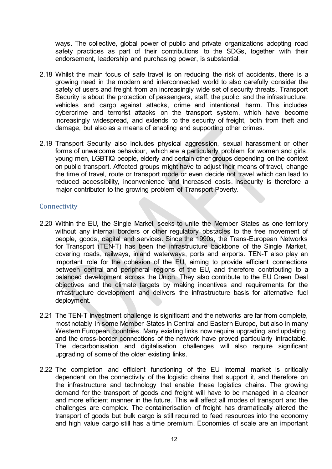ways. The collective, global power of public and private organizations adopting road safety practices as part of their contributions to the SDGs, together with their endorsement, leadership and purchasing power, is substantial.

- 2.18 Whilst the main focus of safe travel is on reducing the risk of accidents, there is a growing need in the modern and interconnected world to also carefully consider the safety of users and freight from an increasingly wide set of security threats. Transport Security is about the protection of passengers, staff, the public, and the infrastructure, vehicles and cargo against attacks, crime and intentional harm. This includes cybercrime and terrorist attacks on the transport system, which have become increasingly widespread, and extends to the security of freight, both from theft and damage, but also as a means of enabling and supporting other crimes.
- 2.19 Transport Security also includes physical aggression, sexual harassment or other forms of unwelcome behaviour, which are a particularly problem for women and girls, young men, LGBTIQ people, elderly and certain other groups depending on the context on public transport. Affected groups might have to adjust their means of travel, change the time of travel, route or transport mode or even decide not travel which can lead to reduced accessibility, inconvenience and increased costs. Insecurity is therefore a major contributor to the growing problem of Transport Poverty.

## <span id="page-15-0"></span>**Connectivity**

- 2.20 Within the EU, the Single Market seeks to unite the Member States as one territory without any internal borders or other regulatory obstacles to the free movement of people, goods, capital and services. Since the 1990s, the Trans-European Networks for Transport (TEN-T) has been the infrastructure backbone of the Single Market, covering roads, railways, inland waterways, ports and airports. TEN-T also play an important role for the cohesion of the EU, aiming to provide efficient connections between central and peripheral regions of the EU, and therefore contributing to a balanced development across the Union. They also contribute to the EU Green Deal objectives and the climate targets by making incentives and requirements for the infrastructure development and delivers the infrastructure basis for alternative fuel deployment.
- 2.21 The TEN-T investment challenge is significant and the networks are far from complete, most notably in some Member States in Central and Eastern Europe, but also in many Western European countries. Many existing links now require upgrading and updating, and the cross-border connections of the network have proved particularly intractable. The decarbonisation and digitalisation challenges will also require significant upgrading of some of the older existing links.
- 2.22 The completion and efficient functioning of the EU internal market is critically dependent on the connectivity of the logistic chains that support it, and therefore on the infrastructure and technology that enable these logistics chains. The growing demand for the transport of goods and freight will have to be managed in a cleaner and more efficient manner in the future. This will affect all modes of transport and the challenges are complex. The containerisation of freight has dramatically altered the transport of goods but bulk cargo is still required to feed resources into the economy and high value cargo still has a time premium. Economies of scale are an important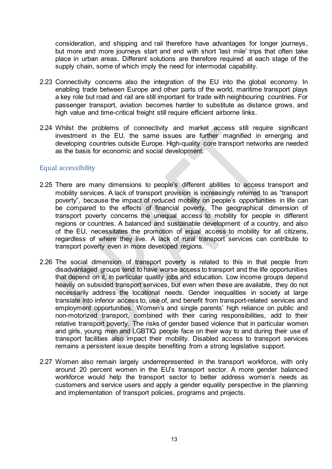consideration, and shipping and rail therefore have advantages for longer journeys, but more and more journeys start and end with short 'last mile' trips that often take place in urban areas. Different solutions are therefore required at each stage of the supply chain, some of which imply the need for intermodal capability.

- 2.23 Connectivity concerns also the integration of the EU into the global economy. In enabling trade between Europe and other parts of the world, maritime transport plays a key role but road and rail are still important for trade with neighbouring countries. For passenger transport, aviation becomes harder to substitute as distance grows, and high value and time-critical freight still require efficient airborne links.
- 2.24 Whilst the problems of connectivity and market access still require significant investment in the EU, the same issues are further magnified in emerging and developing countries outside Europe. High-quality core transport networks are needed as the basis for economic and social development.

#### <span id="page-16-0"></span>Equal accessibility

- 2.25 There are many dimensions to people's different abilities to access transport and mobility services. A lack of transport provision is increasingly referred to as "transport poverty", because the impact of reduced mobility on people's opportunities in life can be compared to the effects of financial poverty. The geographical dimension of transport poverty concerns the unequal access to mobility for people in different regions or countries. A balanced and sustainable development of a country, and also of the EU, necessitates the promotion of equal access to mobility for all citizens, regardless of where they live. A lack of rural transport services can contribute to transport poverty even in more developed regions.
- 2.26 The social dimension of transport poverty is related to this in that people from disadvantaged groups tend to have worse access to transport and the life opportunities that depend on it, in particular quality jobs and education. Low income groups depend heavily on subsided transport services, but even when these are available, they do not necessarily address the locational needs. Gender inequalities in society at large translate into inferior access to, use of, and benefit from transport-related services and employment opportunities. Women's and single parents' high reliance on public and non-motorized transport, combined with their caring responsibilities, add to their relative transport poverty. The risks of gender based violence that in particular women and girls, young men and LGBTIQ people face on their way to and during their use of transport facilities also impact their mobility. Disabled access to transport services remains a persistent issue despite benefiting from a strong legislative support.
- 2.27 Women also remain largely underrepresented in the transport workforce, with only around 20 percent women in the EU's transport sector. A more gender balanced workforce would help the transport sector to better address women's needs as customers and service users and apply a gender equality perspective in the planning and implementation of transport policies, programs and projects.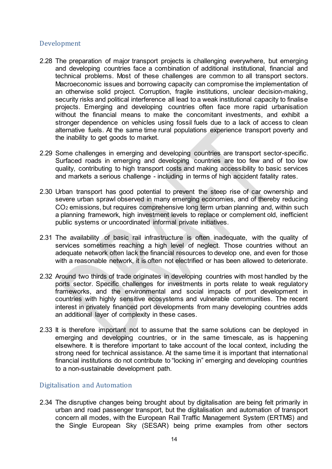## <span id="page-17-0"></span>Development

- 2.28 The preparation of major transport projects is challenging everywhere, but emerging and developing countries face a combination of additional institutional, financial and technical problems. Most of these challenges are common to all transport sectors. Macroeconomic issues and borrowing capacity can compromise the implementation of an otherwise solid project. Corruption, fragile institutions, unclear decision-making, security risks and political interference all lead to a weak institutional capacity to finalise projects. Emerging and developing countries often face more rapid urbanisation without the financial means to make the concomitant investments, and exhibit a stronger dependence on vehicles using fossil fuels due to a lack of access to clean alternative fuels. At the same time rural populations experience transport poverty and the inability to get goods to market.
- 2.29 Some challenges in emerging and developing countries are transport sector-specific. Surfaced roads in emerging and developing countries are too few and of too low quality, contributing to high transport costs and making accessibility to basic services and markets a serious challenge - including in terms of high accident fatality rates.
- 2.30 Urban transport has good potential to prevent the steep rise of car ownership and severe urban sprawl observed in many emerging economies, and of thereby reducing CO2 emissions, but requires comprehensive long term urban planning and, within such a planning framework, high investment levels to replace or complement old, inefficient public systems or uncoordinated informal private initiatives.
- 2.31 The availability of basic rail infrastructure is often inadequate, with the quality of services sometimes reaching a high level of neglect. Those countries without an adequate network often lack the financial resources to develop one, and even for those with a reasonable network, it is often not electrified or has been allowed to deteriorate.
- 2.32 Around two thirds of trade originates in developing countries with most handled by the ports sector. Specific challenges for investments in ports relate to weak regulatory frameworks, and the environmental and social impacts of port development in countries with highly sensitive ecosystems and vulnerable communities. The recent interest in privately financed port developments from many developing countries adds an additional layer of complexity in these cases.
- 2.33 It is therefore important not to assume that the same solutions can be deployed in emerging and developing countries, or in the same timescale, as is happening elsewhere. It is therefore important to take account of the local context, including the strong need for technical assistance. At the same time it is important that international financial institutions do not contribute to "locking in" emerging and developing countries to a non-sustainable development path.

## <span id="page-17-1"></span>Digitalisation and Automation

2.34 The disruptive changes being brought about by digitalisation are being felt primarily in urban and road passenger transport, but the digitalisation and automation of transport concern all modes, with the European Rail Traffic Management System (ERTMS) and the Single European Sky (SESAR) being prime examples from other sectors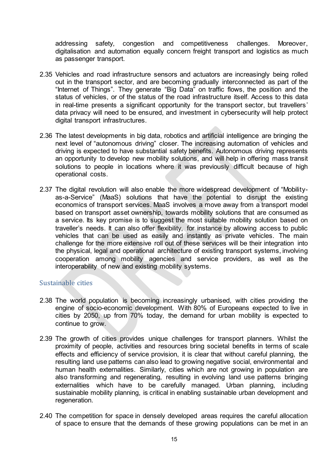addressing safety, congestion and competitiveness challenges. Moreover, digitalisation and automation equally concern freight transport and logistics as much as passenger transport.

- 2.35 Vehicles and road infrastructure sensors and actuators are increasingly being rolled out in the transport sector, and are becoming gradually interconnected as part of the "Internet of Things". They generate "Big Data" on traffic flows, the position and the status of vehicles, or of the status of the road infrastructure itself. Access to this data in real-time presents a significant opportunity for the transport sector, but travellers' data privacy will need to be ensured, and investment in cybersecurity will help protect digital transport infrastructures.
- 2.36 The latest developments in big data, robotics and artificial intelligence are bringing the next level of "autonomous driving" closer. The increasing automation of vehicles and driving is expected to have substantial safety benefits. Autonomous driving represents an opportunity to develop new mobility solutions, and will help in offering mass transit solutions to people in locations where it was previously difficult because of high operational costs.
- 2.37 The digital revolution will also enable the more widespread development of "Mobilityas-a-Service" (MaaS) solutions that have the potential to disrupt the existing economics of transport services. MaaS involves a move away from a transport model based on transport asset ownership, towards mobility solutions that are consumed as a service. Its key promise is to suggest the most suitable mobility solution based on traveller's needs. It can also offer flexibility, for instance by allowing access to public vehicles that can be used as easily and instantly as private vehicles. The main challenge for the more extensive roll out of these services will be their integration into the physical, legal and operational architecture of existing transport systems, involving cooperation among mobility agencies and service providers, as well as the interoperability of new and existing mobility systems.

## <span id="page-18-0"></span>Sustainable cities

- 2.38 The world population is becoming increasingly urbanised, with cities providing the engine of socio-economic development. With 80% of Europeans expected to live in cities by 2050, up from 70% today, the demand for urban mobility is expected to continue to grow.
- 2.39 The growth of cities provides unique challenges for transport planners. Whilst the proximity of people, activities and resources bring societal benefits in terms of scale effects and efficiency of service provision, it is clear that without careful planning, the resulting land use patterns can also lead to growing negative social, environmental and human health externalities. Similarly, cities which are not growing in population are also transforming and regenerating, resulting in evolving land use patterns bringing externalities which have to be carefully managed. Urban planning, including sustainable mobility planning, is critical in enabling sustainable urban development and regeneration.
- 2.40 The competition for space in densely developed areas requires the careful allocation of space to ensure that the demands of these growing populations can be met in an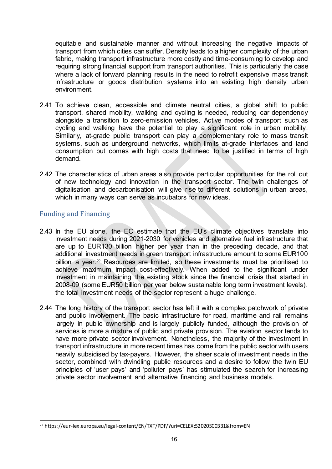equitable and sustainable manner and without increasing the negative impacts of transport from which cities can suffer. Density leads to a higher complexity of the urban fabric, making transport infrastructure more costly and time-consuming to develop and requiring strong financial support from transport authorities. This is particularly the case where a lack of forward planning results in the need to retrofit expensive mass transit infrastructure or goods distribution systems into an existing high density urban environment.

- 2.41 To achieve clean, accessible and climate neutral cities, a global shift to public transport, shared mobility, walking and cycling is needed, reducing car dependency alongside a transition to zero-emission vehicles. Active modes of transport such as cycling and walking have the potential to play a significant role in urban mobility. Similarly, at-grade public transport can play a complementary role to mass transit systems, such as underground networks, which limits at-grade interfaces and land consumption but comes with high costs that need to be justified in terms of high demand.
- 2.42 The characteristics of urban areas also provide particular opportunities for the roll out of new technology and innovation in the transport sector. The twin challenges of digitalisation and decarbonisation will give rise to different solutions in urban areas, which in many ways can serve as incubators for new ideas.

## <span id="page-19-0"></span>Funding and Financing

- 2.43 In the EU alone, the EC estimate that the EU's climate objectives translate into investment needs during 2021-2030 for vehicles and alternative fuel infrastructure that are up to EUR130 billion higher per year than in the preceding decade, and that additional investment needs in green transport infrastructure amount to some EUR100 billion a year.<sup>[22](#page-19-1)</sup> Resources are limited, so these investments must be prioritised to achieve maximum impact cost-effectively. When added to the significant under investment in maintaining the existing stock since the financial crisis that started in 2008-09 (some EUR50 billion per year below sustainable long term investment levels), the total investment needs of the sector represent a huge challenge.
- 2.44 The long history of the transport sector has left it with a complex patchwork of private and public involvement. The basic infrastructure for road, maritime and rail remains largely in public ownership and is largely publicly funded, although the provision of services is more a mixture of public and private provision. The aviation sector tends to have more private sector involvement. Nonetheless, the majority of the investment in transport infrastructure in more recent times has come from the public sector with users heavily subsidised by tax-payers. However, the sheer scale of investment needs in the sector, combined with dwindling public resources and a desire to follow the twin EU principles of 'user pays' and 'polluter pays' has stimulated the search for increasing private sector involvement and alternative financing and business models.

<span id="page-19-1"></span><sup>-</sup><sup>22</sup> https://eur-lex.europa.eu/legal-content/EN/TXT/PDF/?uri=CELEX:52020SC0331&from=EN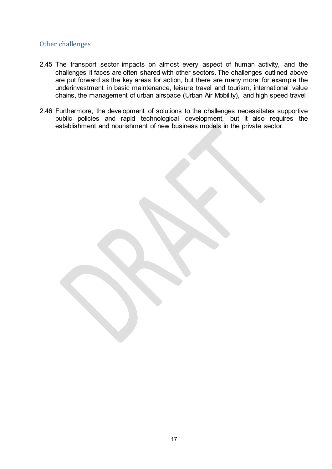## <span id="page-20-0"></span>Other challenges

- 2.45 The transport sector impacts on almost every aspect of human activity, and the challenges it faces are often shared with other sectors. The challenges outlined above are put forward as the key areas for action, but there are many more: for example the underinvestment in basic maintenance, leisure travel and tourism, international value chains, the management of urban airspace (Urban Air Mobility), and high speed travel.
- 2.46 Furthermore, the development of solutions to the challenges necessitates supportive public policies and rapid technological development, but it also requires the establishment and nourishment of new business models in the private sector.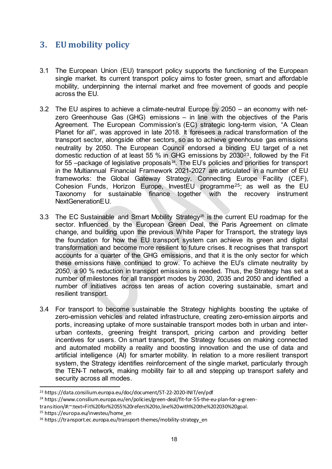## <span id="page-21-0"></span>**3. EU mobility policy**

- 3.1 The European Union (EU) transport policy supports the functioning of the European single market. Its current transport policy aims to foster green, smart and affordable mobility, underpinning the internal market and free movement of goods and people across the EU.
- 3.2 The EU aspires to achieve a climate-neutral Europe by 2050 an economy with netzero Greenhouse Gas (GHG) emissions – in line with the objectives of the Paris Agreement. The European Commission's (EC) strategic long-term vision, "A Clean Planet for all", was approved in late 2018. It foresees a radical transformation of the transport sector, alongside other sectors, so as to achieve greenhouse gas emissions neutrality by 2050. The European Council endorsed a binding EU target of a net domestic reduction of at least 55 % in GHG emissions by 2030[23](#page-21-1), followed by the Fit for 55 –package of legislative proposals $^{24}$  $^{24}$  $^{24}$ . The EU's policies and priorities for transport in the Multiannual Financial Framework 2021-2027 are articulated in a number of EU frameworks: the Global Gateway Strategy, Connecting Europe Facility (CEF), Cohesion Funds, Horizon Europe, InvestEU programme[25](#page-21-3); as well as the EU Taxonomy for sustainable finance together with the recovery instrument NextGenerationEU.
- 3.3 The EC Sustainable and Smart Mobility Strategy<sup>[26](#page-21-4)</sup> is the current EU roadmap for the sector. Influenced by the European Green Deal, the Paris Agreement on climate change, and building upon the previous White Paper for Transport, the strategy lays the foundation for how the EU transport system can achieve its green and digital transformation and become more resilient to future crises. It recognises that transport accounts for a quarter of the GHG emissions, and that it is the only sector for which these emissions have continued to grow. To achieve the EU's climate neutrality by 2050, a 90 % reduction in transport emissions is needed. Thus, the Strategy has set a number of milestones for all transport modes by 2030, 2035 and 2050 and identified a number of initiatives across ten areas of action covering sustainable, smart and resilient transport.
- 3.4 For transport to become sustainable the Strategy highlights boosting the uptake of zero-emission vehicles and related infrastructure, creating zero-emission airports and ports, increasing uptake of more sustainable transport modes both in urban and interurban contexts, greening freight transport, pricing carbon and providing better incentives for users. On smart transport, the Strategy focuses on making connected and automated mobility a reality and boosting innovation and the use of data and artificial intelligence (AI) for smarter mobility. In relation to a more resilient transport system, the Strategy identifies reinforcement of the single market, particularly through the TEN-T network, making mobility fair to all and stepping up transport safety and security across all modes.

<span id="page-21-1"></span><sup>23</sup> https://data.consilium.europa.eu/doc/document/ST-22-2020-INIT/en/pdf

<span id="page-21-2"></span><sup>&</sup>lt;sup>24</sup> https://www.consilium.europa.eu/en/policies/green-deal/fit-for-55-the-eu-plan-for-a-green-

transition/#:~:text=Fit%20for%2055%20refers%20to,line%20with%20the%202030%20goal.

<span id="page-21-3"></span><sup>25</sup> https://europa.eu/investeu/home\_en

<span id="page-21-4"></span><sup>26</sup> https://transport.ec.europa.eu/transport-themes/mobility-strategy\_en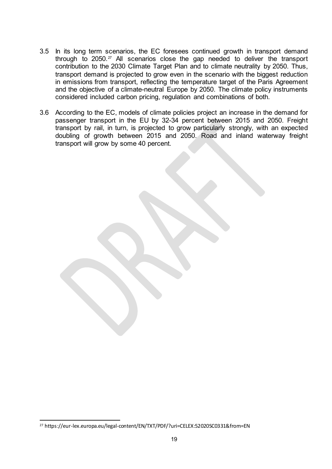- 3.5 In its long term scenarios, the EC foresees continued growth in transport demand through to  $2050.^{27}$  $2050.^{27}$  $2050.^{27}$  All scenarios close the gap needed to deliver the transport contribution to the 2030 Climate Target Plan and to climate neutrality by 2050. Thus, transport demand is projected to grow even in the scenario with the biggest reduction in emissions from transport, reflecting the temperature target of the Paris Agreement and the objective of a climate-neutral Europe by 2050. The climate policy instruments considered included carbon pricing, regulation and combinations of both.
- 3.6 According to the EC, models of climate policies project an increase in the demand for passenger transport in the EU by 32-34 percent between 2015 and 2050. Freight transport by rail, in turn, is projected to grow particularly strongly, with an expected doubling of growth between 2015 and 2050. Road and inland waterway freight transport will grow by some 40 percent.

<span id="page-22-0"></span><sup>-</sup><sup>27</sup> https://eur-lex.europa.eu/legal-content/EN/TXT/PDF/?uri=CELEX:52020SC0331&from=EN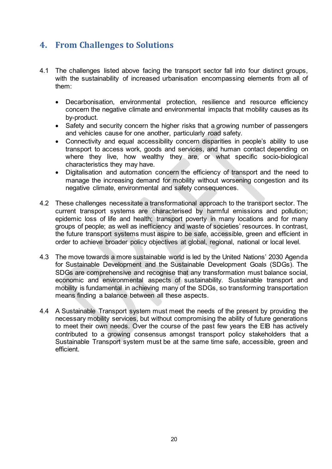## <span id="page-23-0"></span>**4. From Challenges to Solutions**

- 4.1 The challenges listed above facing the transport sector fall into four distinct groups, with the sustainability of increased urbanisation encompassing elements from all of them:
	- Decarbonisation, environmental protection, resilience and resource efficiency concern the negative climate and environmental impacts that mobility causes as its by-product.
	- Safety and security concern the higher risks that a growing number of passengers and vehicles cause for one another, particularly road safety.
	- Connectivity and equal accessibility concern disparities in people's ability to use transport to access work, goods and services, and human contact depending on where they live, how wealthy they are, or what specific socio-biological characteristics they may have.
	- Digitalisation and automation concern the efficiency of transport and the need to manage the increasing demand for mobility without worsening congestion and its negative climate, environmental and safety consequences.
- 4.2 These challenges necessitate a transformational approach to the transport sector. The current transport systems are characterised by harmful emissions and pollution; epidemic loss of life and health; transport poverty in many locations and for many groups of people; as well as inefficiency and waste of societies' resources. In contrast, the future transport systems must aspire to be safe, accessible, green and efficient in order to achieve broader policy objectives at global, regional, national or local level.
- 4.3 The move towards a more sustainable world is led by the United Nations' 2030 Agenda for Sustainable Development and the Sustainable Development Goals (SDGs). The SDGs are comprehensive and recognise that any transformation must balance social, economic and environmental aspects of sustainability. Sustainable transport and mobility is fundamental in achieving many of the SDGs, so transforming transportation means finding a balance between all these aspects.
- 4.4 A Sustainable Transport system must meet the needs of the present by providing the necessary mobility services, but without compromising the ability of future generations to meet their own needs. Over the course of the past few years the EIB has actively contributed to a growing consensus amongst transport policy stakeholders that a Sustainable Transport system must be at the same time safe, accessible, green and efficient.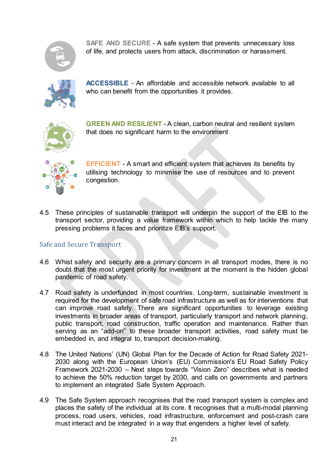

**SAFE AND SECURE** - A safe system that prevents unnecessary loss of life, and protects users from attack, discrimination or harassment.



**ACCESSIBLE** - An affordable and accessible network available to all who can benefit from the opportunities it provides.



**GREEN AND RESILIENT** - A clean, carbon neutral and resilient system that does no significant harm to the environment



**EFFICIENT** - A smart and efficient system that achieves its benefits by utilising technology to minimise the use of resources and to prevent congestion.

4.5 These principles of sustainable transport will underpin the support of the EIB to the transport sector, providing a value framework within which to help tackle the many pressing problems it faces and prioritize EIB's support.

## <span id="page-24-0"></span>Safe and Secure Transport

- 4.6 Whist safety and security are a primary concern in all transport modes, there is no doubt that the most urgent priority for investment at the moment is the hidden global pandemic of road safety.
- 4.7 Road safety is underfunded in most countries. Long-term, sustainable investment is required for the development of safe road infrastructure as well as for interventions that can improve road safety. There are significant opportunities to leverage existing investments in broader areas of transport, particularly transport and network planning, public transport, road construction, traffic operation and maintenance. Rather than serving as an "add-on" to these broader transport activities, road safety must be embedded in, and integral to, transport decision-making.
- 4.8 The United Nations' (UN) Global Plan for the Decade of Action for Road Safety 2021- 2030 along with the European Union's (EU) Commission's EU Road Safety Policy Framework 2021-2030 – Next steps towards "Vision Zero" describes what is needed to achieve the 50% reduction target by 2030, and calls on governments and partners to implement an integrated Safe System Approach.
- 4.9 The Safe System approach recognises that the road transport system is complex and places the safety of the individual at its core. It recognises that a multi-modal planning process, road users, vehicles, road infrastructure, enforcement and post-crash care must interact and be integrated in a way that engenders a higher level of safety.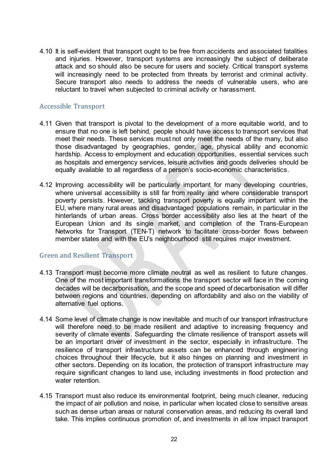4.10 It is self-evident that transport ought to be free from accidents and associated fatalities and injuries. However, transport systems are increasingly the subject of deliberate attack and so should also be secure for users and society. Critical transport systems will increasingly need to be protected from threats by terrorist and criminal activity. Secure transport also needs to address the needs of vulnerable users, who are reluctant to travel when subjected to criminal activity or harassment.

## <span id="page-25-0"></span>Accessible Transport

- 4.11 Given that transport is pivotal to the development of a more equitable world, and to ensure that no one is left behind, people should have access to transport services that meet their needs. These services must not only meet the needs of the many, but also those disadvantaged by geographies, gender, age, physical ability and economic hardship. Access to employment and education opportunities, essential services such as hospitals and emergency services, leisure activities and goods deliveries should be equally available to all regardless of a person's socio-economic characteristics.
- 4.12 Improving accessibility will be particularly important for many developing countries, where universal accessibility is still far from reality and where considerable transport poverty persists. However, tackling transport poverty is equally important within the EU, where many rural areas and disadvantaged populations remain, in particular in the hinterlands of urban areas. Cross border accessibility also lies at the heart of the European Union and its single market, and completion of the Trans-European Networks for Transport (TEN-T) network to facilitate cross-border flows between member states and with the EU's neighbourhood still requires major investment.

## <span id="page-25-1"></span>Green and Resilient Transport

- 4.13 Transport must become more climate neutral as well as resilient to future changes. One of the most important transformations the transport sector will face in the coming decades will be decarbonisation, and the scope and speed of decarbonisation will differ between regions and countries, depending on affordability and also on the viability of alternative fuel options.
- 4.14 Some level of climate change is now inevitable and much of our transport infrastructure will therefore need to be made resilient and adaptive to increasing frequency and severity of climate events. Safeguarding the climate resilience of transport assets will be an important driver of investment in the sector, especially in infrastructure. The resilience of transport infrastructure assets can be enhanced through engineering choices throughout their lifecycle, but it also hinges on planning and investment in other sectors. Depending on its location, the protection of transport infrastructure may require significant changes to land use, including investments in flood protection and water retention.
- 4.15 Transport must also reduce its environmental footprint, being much cleaner, reducing the impact of air pollution and noise, in particular when located close to sensitive areas such as dense urban areas or natural conservation areas, and reducing its overall land take. This implies continuous promotion of, and investments in all low impact transport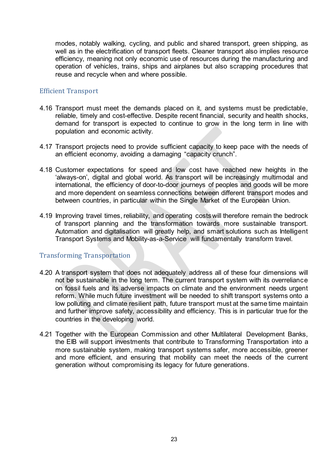modes, notably walking, cycling, and public and shared transport, green shipping, as well as in the electrification of transport fleets. Cleaner transport also implies resource efficiency, meaning not only economic use of resources during the manufacturing and operation of vehicles, trains, ships and airplanes but also scrapping procedures that reuse and recycle when and where possible.

## <span id="page-26-0"></span>Efficient Transport

- 4.16 Transport must meet the demands placed on it, and systems must be predictable, reliable, timely and cost-effective. Despite recent financial, security and health shocks, demand for transport is expected to continue to grow in the long term in line with population and economic activity.
- 4.17 Transport projects need to provide sufficient capacity to keep pace with the needs of an efficient economy, avoiding a damaging "capacity crunch".
- 4.18 Customer expectations for speed and low cost have reached new heights in the 'always-on', digital and global world. As transport will be increasingly multimodal and international, the efficiency of door-to-door journeys of peoples and goods will be more and more dependent on seamless connections between different transport modes and between countries, in particular within the Single Market of the European Union.
- 4.19 Improving travel times, reliability, and operating costs will therefore remain the bedrock of transport planning and the transformation towards more sustainable transport. Automation and digitalisation will greatly help, and smart solutions such as Intelligent Transport Systems and Mobility-as-a-Service will fundamentally transform travel.

## <span id="page-26-1"></span>Transforming Transportation

- 4.20 A transport system that does not adequately address all of these four dimensions will not be sustainable in the long term. The current transport system with its overreliance on fossil fuels and its adverse impacts on climate and the environment needs urgent reform. While much future investment will be needed to shift transport systems onto a low polluting and climate resilient path, future transport must at the same time maintain and further improve safety, accessibility and efficiency. This is in particular true for the countries in the developing world.
- 4.21 Together with the European Commission and other Multilateral Development Banks, the EIB will support investments that contribute to Transforming Transportation into a more sustainable system, making transport systems safer, more accessible, greener and more efficient, and ensuring that mobility can meet the needs of the current generation without compromising its legacy for future generations.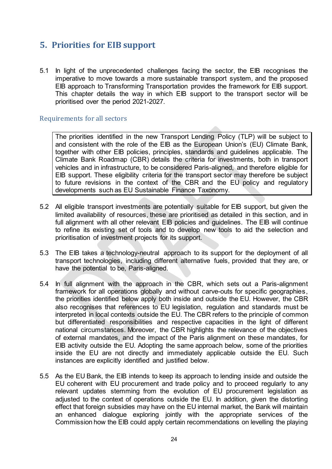## <span id="page-27-0"></span>**5. Priorities for EIB support**

5.1 In light of the unprecedented challenges facing the sector, the EIB recognises the imperative to move towards a more sustainable transport system, and the proposed EIB approach to Transforming Transportation provides the framework for EIB support. This chapter details the way in which EIB support to the transport sector will be prioritised over the period 2021-2027.

#### <span id="page-27-1"></span>Requirements for all sectors

The priorities identified in the new Transport Lending Policy (TLP) will be subject to and consistent with the role of the EIB as the European Union's (EU) Climate Bank, together with other EIB policies, principles, standards and guidelines applicable. The Climate Bank Roadmap (CBR) details the criteria for investments, both in transport vehicles and in infrastructure, to be considered Paris-aligned, and therefore eligible for EIB support. These eligibility criteria for the transport sector may therefore be subject to future revisions in the context of the CBR and the EU policy and regulatory developments such as EU Sustainable Finance Taxonomy.

- 5.2 All eligible transport investments are potentially suitable for EIB support, but given the limited availability of resources, these are prioritised as detailed in this section, and in full alignment with all other relevant EIB policies and quidelines. The EIB will continue to refine its existing set of tools and to develop new tools to aid the selection and prioritisation of investment projects for its support.
- 5.3 The EIB takes a technology-neutral approach to its support for the deployment of all transport technologies, including different alternative fuels, provided that they are, or have the potential to be, Paris-aligned.
- 5.4 In full alignment with the approach in the CBR, which sets out a Paris-alignment framework for all operations globally and without carve-outs for specific geographies, the priorities identified below apply both inside and outside the EU. However, the CBR also recognises that references to EU legislation, regulation and standards must be interpreted in local contexts outside the EU. The CBR refers to the principle of common but differentiated responsibilities and respective capacities in the light of different national circumstances. Moreover, the CBR highlights the relevance of the objectives of external mandates, and the impact of the Paris alignment on these mandates, for EIB activity outside the EU. Adopting the same approach below, some of the priorities inside the EU are not directly and immediately applicable outside the EU. Such instances are explicitly identified and justified below.
- 5.5 As the EU Bank, the EIB intends to keep its approach to lending inside and outside the EU coherent with EU procurement and trade policy and to proceed regularly to any relevant updates stemming from the evolution of EU procurement legislation as adjusted to the context of operations outside the EU. In addition, given the distorting effect that foreign subsidies may have on the EU internal market, the Bank will maintain an enhanced dialogue exploring jointly with the appropriate services of the Commission how the EIB could apply certain recommendations on levelling the playing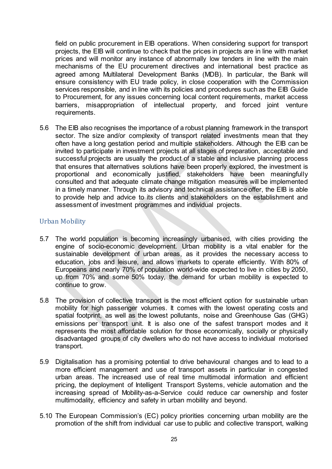field on public procurement in EIB operations. When considering support for transport projects, the EIB will continue to check that the prices in projects are in line with market prices and will monitor any instance of abnormally low tenders in line with the main mechanisms of the EU procurement directives and international best practice as agreed among Multilateral Development Banks (MDB). In particular, the Bank will ensure consistency with EU trade policy, in close cooperation with the Commission services responsible, and in line with its policies and procedures such as the EIB Guide to Procurement, for any issues concerning local content requirements, market access barriers, misappropriation of intellectual property, and forced joint venture requirements.

5.6 The EIB also recognises the importance of a robust planning framework in the transport sector. The size and/or complexity of transport related investments mean that they often have a long gestation period and multiple stakeholders. Although the EIB can be invited to participate in investment projects at all stages of preparation, acceptable and successful projects are usually the product of a stable and inclusive planning process that ensures that alternatives solutions have been properly explored, the investment is proportional and economically justified, stakeholders have been meaningfully consulted and that adequate climate change mitigation measures will be implemented in a timely manner. Through its advisory and technical assistance offer, the EIB is able to provide help and advice to its clients and stakeholders on the establishment and assessment of investment programmes and individual projects.

## <span id="page-28-0"></span>Urban Mobility

- 5.7 The world population is becoming increasingly urbanised, with cities providing the engine of socio-economic development. Urban mobility is a vital enabler for the sustainable development of urban areas, as it provides the necessary access to education, jobs and leisure, and allows markets to operate efficiently. With 80% of Europeans and nearly 70% of population world-wide expected to live in cities by 2050, up from 70% and some 50% today, the demand for urban mobility is expected to continue to grow.
- 5.8 The provision of collective transport is the most efficient option for sustainable urban mobility for high passenger volumes. It comes with the lowest operating costs and spatial footprint, as well as the lowest pollutants, noise and Greenhouse Gas (GHG) emissions per transport unit. It is also one of the safest transport modes and it represents the most affordable solution for those economically, socially or physically disadvantaged groups of city dwellers who do not have access to individual motorised transport.
- 5.9 Digitalisation has a promising potential to drive behavioural changes and to lead to a more efficient management and use of transport assets in particular in congested urban areas. The increased use of real time multimodal information and efficient pricing, the deployment of Intelligent Transport Systems, vehicle automation and the increasing spread of Mobility-as-a-Service could reduce car ownership and foster multimodality, efficiency and safety in urban mobility and beyond.
- 5.10 The European Commission's (EC) policy priorities concerning urban mobility are the promotion of the shift from individual car use to public and collective transport, walking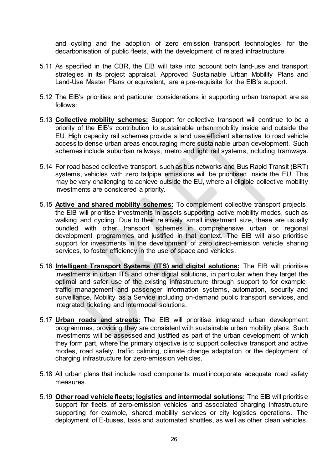and cycling and the adoption of zero emission transport technologies for the decarbonisation of public fleets, with the development of related infrastructure.

- 5.11 As specified in the CBR, the EIB will take into account both land-use and transport strategies in its project appraisal. Approved Sustainable Urban Mobility Plans and Land-Use Master Plans or equivalent, are a pre-requisite for the EIB's support.
- 5.12 The EIB's priorities and particular considerations in supporting urban transport are as follows:
- 5.13 **Collective mobility schemes:** Support for collective transport will continue to be a priority of the EIB's contribution to sustainable urban mobility inside and outside the EU. High capacity rail schemes provide a land use efficient alternative to road vehicle access to dense urban areas encouraging more sustainable urban development. Such schemes include suburban railways, metro and light rail systems, including tramways.
- 5.14 For road based collective transport, such as bus networks and Bus Rapid Transit (BRT) systems, vehicles with zero tailpipe emissions will be prioritised inside the EU. This may be very challenging to achieve outside the EU, where all eligible collective mobility investments are considered a priority.
- 5.15 **Active and shared mobility schemes:** To complement collective transport projects, the EIB will prioritise investments in assets supporting active mobility modes, such as walking and cycling. Due to their relatively small investment size, these are usually bundled with other transport schemes in comprehensive urban or regional development programmes and justified in that context. The EIB will also prioritise support for investments in the development of zero direct-emission vehicle sharing services, to foster efficiency in the use of space and vehicles.
- 5.16 **Intelligent Transport Systems (ITS) and digital solutions:** The EIB will prioritise investments in urban ITS and other digital solutions, in particular when they target the optimal and safer use of the existing infrastructure through support to for example: traffic management and passenger information systems, automation, security and surveillance, Mobility as a Service including on-demand public transport services, and integrated ticketing and intermodal solutions.
- 5.17 **Urban roads and streets:** The EIB will prioritise integrated urban development programmes, providing they are consistent with sustainable urban mobility plans. Such investments will be assessed and justified as part of the urban development of which they form part, where the primary objective is to support collective transport and active modes, road safety, traffic calming, climate change adaptation or the deployment of charging infrastructure for zero-emission vehicles.
- 5.18 All urban plans that include road components must incorporate adequate road safety measures.
- 5.19 **Other road vehicle fleets; logistics and intermodal solutions:** The EIB will prioritise support for fleets of zero-emission vehicles and associated charging infrastructure supporting for example, shared mobility services or city logistics operations. The deployment of E-buses, taxis and automated shuttles, as well as other clean vehicles,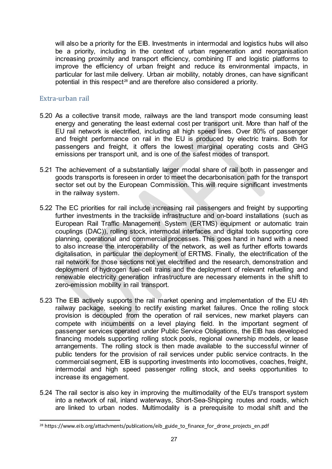will also be a priority for the EIB. Investments in intermodal and logistics hubs will also be a priority, including in the context of urban regeneration and reorganisation increasing proximity and transport efficiency, combining IT and logistic platforms to improve the efficiency of urban freight and reduce its environmental impacts, in particular for last mile delivery. Urban air mobility, notably drones, can have significant potential in this respect<sup>[28](#page-30-1)</sup> and are therefore also considered a priority.

## <span id="page-30-0"></span>Extra-urban rail

- 5.20 As a collective transit mode, railways are the land transport mode consuming least energy and generating the least external cost per transport unit. More than half of the EU rail network is electrified, including all high speed lines. Over 80% of passenger and freight performance on rail in the EU is produced by electric trains. Both for passengers and freight, it offers the lowest marginal operating costs and GHG emissions per transport unit, and is one of the safest modes of transport.
- 5.21 The achievement of a substantially larger modal share of rail both in passenger and goods transports is foreseen in order to meet the decarbonisation path for the transport sector set out by the European Commission. This will require significant investments in the railway system.
- 5.22 The EC priorities for rail include increasing rail passengers and freight by supporting further investments in the trackside infrastructure and on-board installations (such as European Rail Traffic Management System (ERTMS) equipment or automatic train couplings (DAC)), rolling stock, intermodal interfaces and digital tools supporting core planning, operational and commercial processes. This goes hand in hand with a need to also increase the interoperability of the network, as well as further efforts towards digitalisation, in particular the deployment of ERTMS. Finally, the electrification of the rail network for those sections not yet electrified and the research, demonstration and deployment of hydrogen fuel-cell trains and the deployment of relevant refuelling and renewable electricity generation infrastructure are necessary elements in the shift to zero-emission mobility in rail transport.
- 5.23 The EIB actively supports the rail market opening and implementation of the EU 4th railway package, seeking to rectify existing market failures. Once the rolling stock provision is decoupled from the operation of rail services, new market players can compete with incumbents on a level playing field. In the important segment of passenger services operated under Public Service Obligations, the EIB has developed financing models supporting rolling stock pools, regional ownership models, or lease arrangements. The rolling stock is then made available to the successful winner of public tenders for the provision of rail services under public service contracts. In the commercial segment, EIB is supporting investments into locomotives, coaches, freight, intermodal and high speed passenger rolling stock, and seeks opportunities to increase its engagement.
- 5.24 The rail sector is also key in improving the multimodality of the EU's transport system into a network of rail, inland waterways, Short-Sea-Shipping routes and roads, which are linked to urban nodes. Multimodality is a prerequisite to modal shift and the

<span id="page-30-1"></span><sup>&</sup>lt;sup>28</sup> https://www.eib.org/attachments/publications/eib\_guide\_to\_finance\_for\_drone\_projects\_en.pdf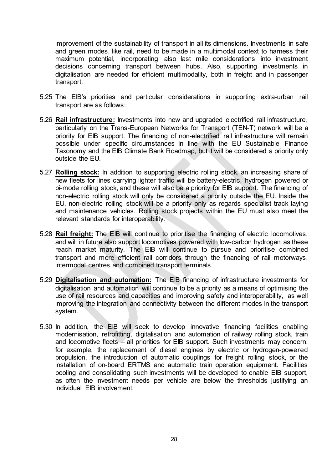improvement of the sustainability of transport in all its dimensions. Investments in safe and green modes, like rail, need to be made in a multimodal context to harness their maximum potential, incorporating also last mile considerations into investment decisions concerning transport between hubs. Also, supporting investments in digitalisation are needed for efficient multimodality, both in freight and in passenger transport.

- 5.25 The EIB's priorities and particular considerations in supporting extra-urban rail transport are as follows:
- 5.26 **Rail infrastructure:** Investments into new and upgraded electrified rail infrastructure, particularly on the Trans-European Networks for Transport (TEN-T) network will be a priority for EIB support. The financing of non-electrified rail infrastructure will remain possible under specific circumstances in line with the EU Sustainable Finance Taxonomy and the EIB Climate Bank Roadmap, but it will be considered a priority only outside the EU.
- 5.27 **Rolling stock:** In addition to supporting electric rolling stock, an increasing share of new fleets for lines carrying lighter traffic will be battery-electric, hydrogen powered or bi-mode rolling stock, and these will also be a priority for EIB support. The financing of non-electric rolling stock will only be considered a priority outside the EU. Inside the EU, non-electric rolling stock will be a priority only as regards specialist track laying and maintenance vehicles. Rolling stock projects within the EU must also meet the relevant standards for interoperability.
- 5.28 **Rail freight:** The EIB will continue to prioritise the financing of electric locomotives, and will in future also support locomotives powered with low-carbon hydrogen as these reach market maturity. The EIB will continue to pursue and prioritise combined transport and more efficient rail corridors through the financing of rail motorways, intermodal centres and combined transport terminals.
- 5.29 **Digitalisation and automation:** The EIB financing of infrastructure investments for digitalisation and automation will continue to be a priority as a means of optimising the use of rail resources and capacities and improving safety and interoperability, as well improving the integration and connectivity between the different modes in the transport system.
- 5.30 In addition, the EIB will seek to develop innovative financing facilities enabling modernisation, retrofitting, digitalisation and automation of railway rolling stock, train and locomotive fleets – all priorities for EIB support. Such investments may concern, for example, the replacement of diesel engines by electric or hydrogen-powered propulsion, the introduction of automatic couplings for freight rolling stock, or the installation of on-board ERTMS and automatic train operation equipment. Facilities pooling and consolidating such investments will be developed to enable EIB support, as often the investment needs per vehicle are below the thresholds justifying an individual EIB involvement.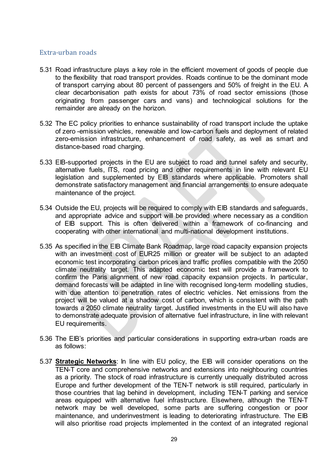## <span id="page-32-0"></span>Extra-urban roads

- 5.31 Road infrastructure plays a key role in the efficient movement of goods of people due to the flexibility that road transport provides. Roads continue to be the dominant mode of transport carrying about 80 percent of passengers and 50% of freight in the EU. A clear decarbonisation path exists for about 73% of road sector emissions (those originating from passenger cars and vans) and technological solutions for the remainder are already on the horizon.
- 5.32 The EC policy priorities to enhance sustainability of road transport include the uptake of zero -emission vehicles, renewable and low-carbon fuels and deployment of related zero-emission infrastructure, enhancement of road safety, as well as smart and distance-based road charging.
- 5.33 EIB-supported projects in the EU are subject to road and tunnel safety and security, alternative fuels, ITS, road pricing and other requirements in line with relevant EU legislation and supplemented by EIB standards where applicable. Promoters shall demonstrate satisfactory management and financial arrangements to ensure adequate maintenance of the project.
- 5.34 Outside the EU, projects will be required to comply with EIB standards and safeguards, and appropriate advice and support will be provided where necessary as a condition of EIB support. This is often delivered within a framework of co-financing and cooperating with other international and multi-national development institutions.
- 5.35 As specified in the EIB Climate Bank Roadmap, large road capacity expansion projects with an investment cost of EUR25 million or greater will be subject to an adapted economic test incorporating carbon prices and traffic profiles compatible with the 2050 climate neutrality target. This adapted economic test will provide a framework to confirm the Paris alignment of new road capacity expansion projects. In particular, demand forecasts will be adapted in line with recognised long-term modelling studies, with due attention to penetration rates of electric vehicles. Net emissions from the project will be valued at a shadow cost of carbon, which is consistent with the path towards a 2050 climate neutrality target. Justified investments in the EU will also have to demonstrate adequate provision of alternative fuel infrastructure, in line with relevant EU requirements.
- 5.36 The EIB's priorities and particular considerations in supporting extra-urban roads are as follows:
- 5.37 **Strategic Networks**: In line with EU policy, the EIB will consider operations on the TEN-T core and comprehensive networks and extensions into neighbouring countries as a priority. The stock of road infrastructure is currently unequally distributed across Europe and further development of the TEN-T network is still required, particularly in those countries that lag behind in development, including TEN-T parking and service areas equipped with alternative fuel infrastructure. Elsewhere, although the TEN-T network may be well developed, some parts are suffering congestion or poor maintenance, and underinvestment is leading to deteriorating infrastructure. The EIB will also prioritise road projects implemented in the context of an integrated regional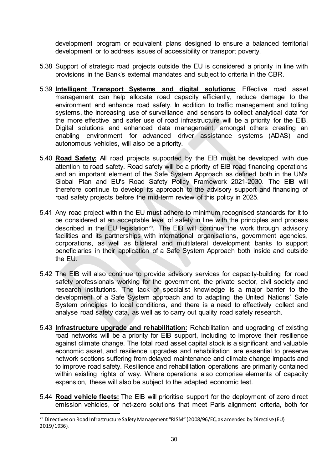development program or equivalent plans designed to ensure a balanced territorial development or to address issues of accessibility or transport poverty.

- 5.38 Support of strategic road projects outside the EU is considered a priority in line with provisions in the Bank's external mandates and subject to criteria in the CBR.
- 5.39 **Intelligent Transport Systems and digital solutions:** Effective road asset management can help allocate road capacity efficiently, reduce damage to the environment and enhance road safety. In addition to traffic management and tolling systems, the increasing use of surveillance and sensors to collect analytical data for the more effective and safer use of road infrastructure will be a priority for the EIB. Digital solutions and enhanced data management, amongst others creating an enabling environment for advanced driver assistance systems (ADAS) and autonomous vehicles, will also be a priority.
- 5.40 **Road Safety:** All road projects supported by the EIB must be developed with due attention to road safety. Road safety will be a priority of EIB road financing operations and an important element of the Safe System Approach as defined both in the UN's Global Plan and EU's Road Safety Policy Framework 2021-2030. The EIB will therefore continue to develop its approach to the advisory support and financing of road safety projects before the mid-term review of this policy in 2025.
- 5.41 Any road project within the EU must adhere to minimum recognised standards for it to be considered at an acceptable level of safety in line with the principles and process described in the EU legislation<sup>29</sup>. The EIB will continue the work through advisory facilities and its partnerships with international organisations, government agencies, corporations, as well as bilateral and multilateral development banks to support beneficiaries in their application of a Safe System Approach both inside and outside the EU.
- 5.42 The EIB will also continue to provide advisory services for capacity-building for road safety professionals working for the government, the private sector, civil society and research institutions. The lack of specialist knowledge is a major barrier to the development of a Safe System approach and to adapting the United Nations' Safe System principles to local conditions, and there is a need to effectively collect and analyse road safety data, as well as to carry out quality road safety research.
- 5.43 **Infrastructure upgrade and rehabilitation:** Rehabilitation and upgrading of existing road networks will be a priority for EIB support, including to improve their resilience against climate change. The total road asset capital stock is a significant and valuable economic asset, and resilience upgrades and rehabilitation are essential to preserve network sections suffering from delayed maintenance and climate change impacts and to improve road safety. Resilience and rehabilitation operations are primarily contained within existing rights of way. Where operations also comprise elements of capacity expansion, these will also be subject to the adapted economic test.
- 5.44 **Road vehicle fleets:** The EIB will prioritise support for the deployment of zero direct emission vehicles, or net-zero solutions that meet Paris alignment criteria, both for

<span id="page-33-0"></span><sup>&</sup>lt;sup>29</sup> Directives on Road Infrastructure Safety Management "RISM" (2008/96/EC, as amended by Directive (EU) 2019/1936).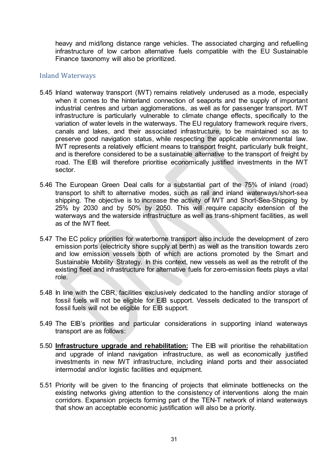heavy and mid/long distance range vehicles. The associated charging and refuelling infrastructure of low carbon alternative fuels compatible with the EU Sustainable Finance taxonomy will also be prioritized.

## <span id="page-34-0"></span>Inland Waterways

- 5.45 Inland waterway transport (IWT) remains relatively underused as a mode, especially when it comes to the hinterland connection of seaports and the supply of important industrial centres and urban agglomerations, as well as for passenger transport. IWT infrastructure is particularly vulnerable to climate change effects, specifically to the variation of water levels in the waterways. The EU regulatory framework require rivers, canals and lakes, and their associated infrastructure, to be maintained so as to preserve good navigation status, while respecting the applicable environmental law. IWT represents a relatively efficient means to transport freight, particularly bulk freight, and is therefore considered to be a sustainable alternative to the transport of freight by road. The EIB will therefore prioritise economically justified investments in the IWT sector.
- 5.46 The European Green Deal calls for a substantial part of the 75% of inland (road) transport to shift to alternative modes, such as rail and inland waterways/short-sea shipping. The objective is to increase the activity of IWT and Short-Sea-Shipping by 25% by 2030 and by 50% by 2050. This will require capacity extension of the waterways and the waterside infrastructure as well as trans-shipment facilities, as well as of the IWT fleet.
- 5.47 The EC policy priorities for waterborne transport also include the development of zero emission ports (electricity shore supply at berth) as well as the transition towards zero and low emission vessels both of which are actions promoted by the Smart and Sustainable Mobility Strategy. In this context, new vessels as well as the retrofit of the existing fleet and infrastructure for alternative fuels for zero-emission fleets plays a vital role.
- 5.48 In line with the CBR, facilities exclusively dedicated to the handling and/or storage of fossil fuels will not be eligible for EIB support. Vessels dedicated to the transport of fossil fuels will not be eligible for EIB support.
- 5.49 The EIB's priorities and particular considerations in supporting inland waterways transport are as follows:
- 5.50 **Infrastructure upgrade and rehabilitation:** The EIB will prioritise the rehabilitation and upgrade of inland navigation infrastructure, as well as economically justified investments in new IWT infrastructure, including inland ports and their associated intermodal and/or logistic facilities and equipment.
- 5.51 Priority will be given to the financing of projects that eliminate bottlenecks on the existing networks giving attention to the consistency of interventions along the main corridors. Expansion projects forming part of the TEN-T network of inland waterways that show an acceptable economic justification will also be a priority.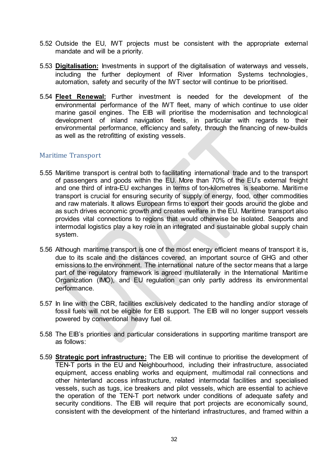- 5.52 Outside the EU, IWT projects must be consistent with the appropriate external mandate and will be a priority.
- 5.53 **Digitalisation:** Investments in support of the digitalisation of waterways and vessels, including the further deployment of River Information Systems technologies, automation, safety and security of the IWT sector will continue to be prioritised.
- 5.54 **Fleet Renewal:** Further investment is needed for the development of the environmental performance of the IWT fleet, many of which continue to use older marine gasoil engines. The EIB will prioritise the modernisation and technological development of inland navigation fleets, in particular with regards to their environmental performance, efficiency and safety, through the financing of new-builds as well as the retrofitting of existing vessels.

## <span id="page-35-0"></span>Maritime Transport

- 5.55 Maritime transport is central both to facilitating international trade and to the transport of passengers and goods within the EU. More than 70% of the EU's external freight and one third of intra-EU exchanges in terms of ton-kilometres is seaborne. Maritime transport is crucial for ensuring security of supply of energy, food, other commodities and raw materials. It allows European firms to export their goods around the globe and as such drives economic growth and creates welfare in the EU. Maritime transport also provides vital connections to regions that would otherwise be isolated. Seaports and intermodal logistics play a key role in an integrated and sustainable global supply chain system.
- 5.56 Although maritime transport is one of the most energy efficient means of transport it is, due to its scale and the distances covered, an important source of GHG and other emissions to the environment. The international nature of the sector means that a large part of the regulatory framework is agreed multilaterally in the International Maritime Organization (IMO), and EU regulation can only partly address its environmental performance.
- 5.57 In line with the CBR, facilities exclusively dedicated to the handling and/or storage of fossil fuels will not be eligible for EIB support. The EIB will no longer support vessels powered by conventional heavy fuel oil.
- 5.58 The EIB's priorities and particular considerations in supporting maritime transport are as follows:
- 5.59 **Strategic port infrastructure:** The EIB will continue to prioritise the development of TEN-T ports in the EU and Neighbourhood, including their infrastructure, associated equipment, access enabling works and equipment, multimodal rail connections and other hinterland access infrastructure, related intermodal facilities and specialised vessels, such as tugs, ice breakers and pilot vessels, which are essential to achieve the operation of the TEN-T port network under conditions of adequate safety and security conditions. The EIB will require that port projects are economically sound, consistent with the development of the hinterland infrastructures, and framed within a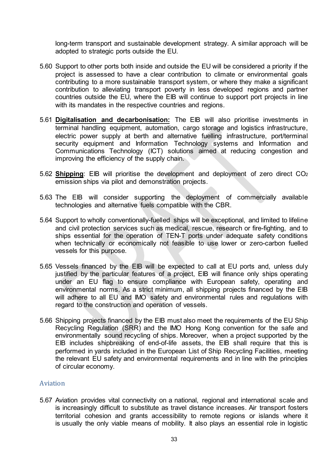long-term transport and sustainable development strategy. A similar approach will be adopted to strategic ports outside the EU.

- 5.60 Support to other ports both inside and outside the EU will be considered a priority if the project is assessed to have a clear contribution to climate or environmental goals contributing to a more sustainable transport system, or where they make a significant contribution to alleviating transport poverty in less developed regions and partner countries outside the EU, where the EIB will continue to support port projects in line with its mandates in the respective countries and regions.
- 5.61 **Digitalisation and decarbonisation:** The EIB will also prioritise investments in terminal handling equipment, automation, cargo storage and logistics infrastructure, electric power supply at berth and alternative fuelling infrastructure, port/terminal security equipment and Information Technology systems and Information and Communications Technology (ICT) solutions aimed at reducing congestion and improving the efficiency of the supply chain.
- 5.62 **Shipping**: EIB will prioritise the development and deployment of zero direct CO2 emission ships via pilot and demonstration projects.
- 5.63 The EIB will consider supporting the deployment of commercially available technologies and alternative fuels compatible with the CBR.
- 5.64 Support to wholly conventionally-fuelled ships will be exceptional, and limited to lifeline and civil protection services such as medical, rescue, research or fire-fighting, and to ships essential for the operation of TEN-T ports under adequate safety conditions when technically or economically not feasible to use lower or zero-carbon fuelled vessels for this purpose.
- 5.65 Vessels financed by the EIB will be expected to call at EU ports and, unless duly justified by the particular features of a project, EIB will finance only ships operating under an EU flag to ensure compliance with European safety, operating and environmental norms. As a strict minimum, all shipping projects financed by the EIB will adhere to all EU and IMO safety and environmental rules and regulations with regard to the construction and operation of vessels.
- 5.66 Shipping projects financed by the EIB must also meet the requirements of the EU Ship Recycling Regulation (SRR) and the IMO Hong Kong convention for the safe and environmentally sound recycling of ships. Moreover, when a project supported by the EIB includes shipbreaking of end-of-life assets, the EIB shall require that this is performed in yards included in the European List of Ship Recycling Facilities, meeting the relevant EU safety and environmental requirements and in line with the principles of circular economy.

## <span id="page-36-0"></span>Aviation

5.67 Aviation provides vital connectivity on a national, regional and international scale and is increasingly difficult to substitute as travel distance increases. Air transport fosters territorial cohesion and grants accessibility to remote regions or islands where it is usually the only viable means of mobility. It also plays an essential role in logistic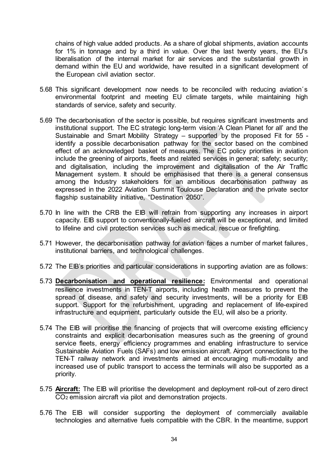chains of high value added products. As a share of global shipments, aviation accounts for 1% in tonnage and by a third in value. Over the last twenty years, the EU's liberalisation of the internal market for air services and the substantial growth in demand within the EU and worldwide, have resulted in a significant development of the European civil aviation sector.

- 5.68 This significant development now needs to be reconciled with reducing aviation´s environmental footprint and meeting EU climate targets, while maintaining high standards of service, safety and security.
- 5.69 The decarbonisation of the sector is possible, but requires significant investments and institutional support. The EC strategic long-term vision 'A Clean Planet for all' and the Sustainable and Smart Mobility Strategy – supported by the proposed Fit for 55 identify a possible decarbonisation pathway for the sector based on the combined effect of an acknowledged basket of measures. The EC policy priorities in aviation include the greening of airports, fleets and related services in general; safety; security; and digitalisation, including the improvement and digitalisation of the Air Traffic Management system. It should be emphasised that there is a general consensus among the Industry stakeholders for an ambitious decarbonisation pathway as expressed in the 2022 Aviation Summit Toulouse Declaration and the private sector flagship sustainability initiative, "Destination 2050".
- 5.70 In line with the CRB the EIB will refrain from supporting any increases in airport capacity. EIB support to conventionally-fuelled aircraft will be exceptional, and limited to lifeline and civil protection services such as medical, rescue or firefighting.
- 5.71 However, the decarbonisation pathway for aviation faces a number of market failures, institutional barriers, and technological challenges.
- 5.72 The EIB's priorities and particular considerations in supporting aviation are as follows:
- 5.73 **Decarbonisation and operational resilience:** Environmental and operational resilience investments in TEN-T airports, including health measures to prevent the spread of disease, and safety and security investments, will be a priority for EIB support. Support for the refurbishment, upgrading and replacement of life-expired infrastructure and equipment, particularly outside the EU, will also be a priority.
- 5.74 The EIB will prioritise the financing of projects that will overcome existing efficiency constraints and explicit decarbonisation measures such as the greening of ground service fleets, energy efficiency programmes and enabling infrastructure to service Sustainable Aviation Fuels (SAFs) and low emission aircraft. Airport connections to the TEN-T railway network and investments aimed at encouraging multi-modality and increased use of public transport to access the terminals will also be supported as a priority.
- 5.75 **Aircraft:** The EIB will prioritise the development and deployment roll-out of zero direct CO2 emission aircraft via pilot and demonstration projects.
- 5.76 The EIB will consider supporting the deployment of commercially available technologies and alternative fuels compatible with the CBR. In the meantime, support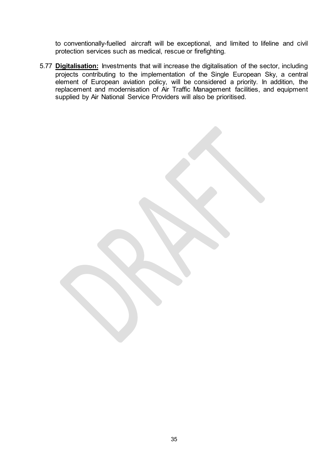to conventionally-fuelled aircraft will be exceptional, and limited to lifeline and civil protection services such as medical, rescue or firefighting.

5.77 **Digitalisation:** Investments that will increase the digitalisation of the sector, including projects contributing to the implementation of the Single European Sky, a central element of European aviation policy, will be considered a priority. In addition, the replacement and modernisation of Air Traffic Management facilities, and equipment supplied by Air National Service Providers will also be prioritised.

35